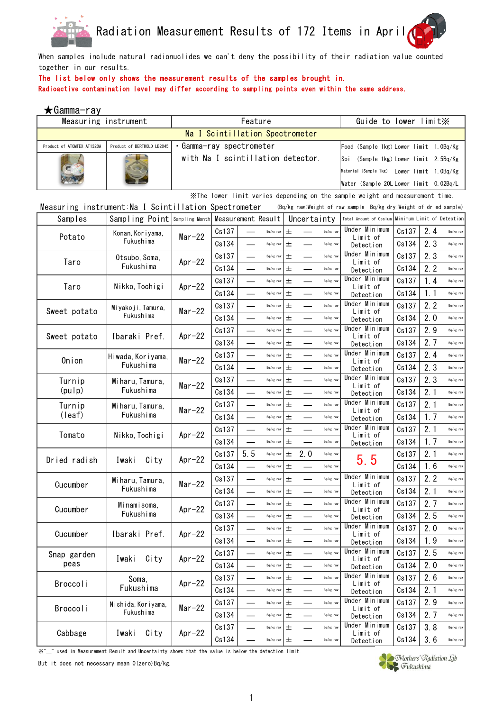



When samples include natural radionuclides we can't deny the possibility of their radiation value counted together in our results.

## The list below only shows the measurement results of the samples brought in.

Radioactive contamination level may differ according to sampling points even within the same address.

| ★Gamma-ray                                            |                                                      |                                            |       |     |           |       |     |             |                                                                                         |       |     |           |
|-------------------------------------------------------|------------------------------------------------------|--------------------------------------------|-------|-----|-----------|-------|-----|-------------|-----------------------------------------------------------------------------------------|-------|-----|-----------|
| Measuring instrument                                  |                                                      | Feature<br>Na I Scintillation Spectrometer |       |     |           |       |     |             | Guide to lower limit X                                                                  |       |     |           |
|                                                       |                                                      |                                            |       |     |           |       |     |             |                                                                                         |       |     |           |
| Product of ATOMTEX AT1320A                            | Product of BERTHOLD LB2045                           | • Gamma-ray spectrometer                   |       |     |           |       |     |             | Food (Sample 1kg) Lower limit 1.0Bq/Kg                                                  |       |     |           |
|                                                       |                                                      | with Na I scintillation detector.          |       |     |           |       |     |             | Soil (Sample 1kg) Lower limit 2.5Bq/Kg                                                  |       |     |           |
|                                                       |                                                      |                                            |       |     |           |       |     |             | Material (Sample 1kg) Lower limit 1.0Bq/Kg                                              |       |     |           |
|                                                       |                                                      |                                            |       |     |           |       |     |             | Water (Sample 20Llower limit 0.02Bq/L                                                   |       |     |           |
|                                                       |                                                      |                                            |       |     |           |       |     |             | $\mathbb X$ The lower limit varies depending on the sample weight and measurement time. |       |     |           |
| Measuring instrument: Na I Scintillation Spectrometer |                                                      |                                            |       |     |           |       |     |             | (Bq/kg raw:Weight of raw sample Bq/kg dry:Weight of dried sample)                       |       |     |           |
| Samples                                               | Sampling Point   Sampling Month   Measurement Result |                                            |       |     |           |       |     | Uncertainty | Total Amount of Cesium Minimum Limit of Detection                                       |       |     |           |
| Potato                                                | Konan, Koriyama,                                     | $Mar-22$                                   | Cs137 |     | Bq/kg raw | 土     |     | Bq/kg raw   | Under Minimum<br>Limit of                                                               | Cs137 | 2.4 | Bq/kg raw |
|                                                       | Fukushima                                            |                                            | Cs134 |     | Bq/kg raw | 士     |     | Bq/kg raw   | Detection                                                                               | Cs134 | 2.3 | Bq/kg raw |
| Taro                                                  | Otsubo, Soma,                                        | Apr $-22$                                  | Cs137 |     | Bq/kg raw | 土     |     | Bq/kg raw   | Under Minimum<br>Limit of                                                               | Cs137 | 2.3 | Bq/kg raw |
|                                                       | Fukushima                                            |                                            | Cs134 |     | Bq/kg raw | 土     |     | Bq/kg raw   | Detection                                                                               | Cs134 | 2.2 | Bq/kg raw |
| Taro                                                  | Nikko, Tochigi                                       | $Ar-22$                                    | Cs137 |     | Bq/kg raw | 土     |     | Bq/kg raw   | Under Minimum                                                                           | Cs137 | 1.4 | Bq/kg raw |
|                                                       |                                                      |                                            | Cs134 |     | Bq/kg raw | 士     |     | Bq/kg raw   | Limit of<br>Detection                                                                   | Cs134 | 1.1 | Bq/kg raw |
|                                                       | Miyakoji, Tamura,                                    | $Mar-22$                                   | Cs137 |     | Bq/kg raw | 士     |     | Bq/kg raw   | Under Minimum                                                                           | Cs137 | 2.2 | Bq/kg raw |
| Sweet potato                                          | Fukushima                                            |                                            | Cs134 |     | Bq/kg raw | 土     |     | Bq/kg raw   | Limit of<br>Detection                                                                   | Cs134 | 2.0 | Bq/kg raw |
|                                                       |                                                      |                                            | Cs137 |     | Bq/kg raw | 士     |     | Bq/kg raw   | Under Minimum                                                                           | Cs137 | 2.9 | Bq/kg raw |
| Sweet potato                                          | Ibaraki Pref.                                        | $Ar-22$                                    | Cs134 |     | Bq/kg raw | 士     |     | Bq/kg raw   | Limit of<br>Detection                                                                   | Cs134 | 2.7 | Bq/kg raw |
|                                                       | Hiwada, Koriyama,                                    |                                            | Cs137 |     | Bq/kg raw | 土     |     | Bq/kg raw   | Under Minimum                                                                           | Cs137 | 2.4 | Bq/kg raw |
| Onion                                                 | Fukushima                                            | $Mar-22$                                   | Cs134 |     | Bq/kg raw | 土     |     | Bq/kg raw   | Limit of<br>Detection                                                                   | Cs134 | 2.3 | Bq/kg raw |
| Turnip                                                | Miharu, Tamura,                                      |                                            | Cs137 |     | Bq/kg raw | 土     |     | Bq/kg raw   | Under Minimum                                                                           | Cs137 | 2.3 | Bq/kg raw |
| (pul p)                                               | Fukushima                                            | $Mar-22$                                   | Cs134 |     | Bq/kg raw | 土     |     | Bq/kg raw   | Limit of<br>Detection                                                                   | Cs134 | 2.1 | Bq/kg raw |
| Turnip                                                | Miharu, Tamura,                                      |                                            | Cs137 |     | Bq/kg raw | 士     |     | Bq/kg raw   | Under Minimum                                                                           | Cs137 | 2.1 | Bq/kg raw |
| (leaf)                                                | Fukushima                                            | $Mar-22$                                   | Cs134 |     | Bq/kg raw | 士     |     | Bq/kg raw   | Limit of<br>Detection                                                                   | Cs134 | 1.7 | Bq/kg raw |
|                                                       |                                                      |                                            | Cs137 |     | Bq/kg rav | 土     |     | Bq/kg raw   | Under Minimum                                                                           | Cs137 | 2.1 | Bq/kg raw |
| Tomato                                                | Nikko, Tochigi                                       | Apr $-22$                                  | Cs134 |     | Bq/kg raw | 土     |     | Bq/kg raw   | Limit of<br>Detection                                                                   | Cs134 | 1.7 | Bq/kg raw |
|                                                       |                                                      |                                            | Cs137 | 5.5 | Bq/kg raw | 土     | 2.0 | Bq/kg raw   |                                                                                         | Cs137 | 2.1 | Bq/kg raw |
| Dried radish                                          | Iwaki<br>City                                        | $Ar-22$                                    | Cs134 |     | Bq/kg raw | 土     |     | Bq/kg raw   | 5.5                                                                                     | Cs134 | 1.6 | Bq/kg raw |
|                                                       | Miharu, Tamura,                                      |                                            | Cs137 |     | Bq/kg raw | 士     |     | Bq/kg raw   | Under Minimum                                                                           | Cs137 | 2.2 | Bq/kg raw |
| Cucumber                                              | Fukushima                                            | $Mar-22$                                   | Cs134 |     | Bq/kg raw | 土     |     | Bq/kg raw   | Limit of<br>Detection                                                                   | Cs134 | 2.1 | Bq/kg raw |
|                                                       | Minamisoma,                                          |                                            | Cs137 |     | Bq/kg raw | 士     |     | Bq/kg raw   | Under Minimum                                                                           | Cs137 | 2.7 | Bq/kg raw |
| Cucumber                                              | Fukushima                                            | Apr $-22$                                  | Cs134 |     | Bq/kg raw | $\pm$ |     | Bq/kg raw   | Limit of<br>Detection                                                                   | Cs134 | 2.5 | Bq/kg raw |
|                                                       |                                                      |                                            | Cs137 |     | Bq/kg raw | $\pm$ |     | Bq/kg raw   | Under Minimum                                                                           | Cs137 | 2.0 | Bq/kg raw |
| Cucumber                                              | Ibaraki Pref.                                        | Apr $-22$                                  | Cs134 |     | Bq/kg raw | $\pm$ |     | Bq/kg raw   | Limit of<br>Detection                                                                   | Cs134 | 1.9 | Bq/kg raw |
| Snap garden                                           |                                                      |                                            | Cs137 |     | Bq/kg raw | $\pm$ |     | Bq/kg raw   | Under Minimum                                                                           | Cs137 | 2.5 | Bq/kg raw |
| peas                                                  | Iwaki<br>City                                        | Apr $-22$                                  | Cs134 |     | Bq/kg raw | $\pm$ |     | Bq/kg raw   | Limit of<br>Detection                                                                   | Cs134 | 2.0 | Bq/kg raw |
|                                                       | Soma,                                                |                                            | Cs137 |     | Bq/kg raw | $\pm$ |     | Bq/kg raw   | Under Minimum                                                                           | Cs137 | 2.6 | Bq/kg raw |
| Broccoli                                              | Fukushima                                            | $Ar-22$                                    | Cs134 |     | Bq/kg raw | $\pm$ |     | Bq/kg raw   | Limit of<br>Detection                                                                   | Cs134 | 2.1 | Bq/kg raw |
|                                                       | Nishida, Koriyama,                                   |                                            | Cs137 |     | Bq/kg raw | $\pm$ |     | Bq/kg raw   | Under Minimum                                                                           | Cs137 | 2.9 | Bq/kg raw |
| Broccoli                                              | Fukushima                                            | $Mar-22$                                   | Cs134 |     | Bq/kg raw | 土     |     | Bq/kg raw   | Limit of<br>Detection                                                                   | Cs134 | 2.7 | Bq/kg raw |
|                                                       |                                                      |                                            |       |     |           |       |     |             |                                                                                         |       |     |           |

※"\_" used in Measurement Result and Uncertainty shows that the value is below the detection limit.

But it does not necessary mean 0(zero) Bq/kg.

Cabbage | Iwaki City | Apr-22



 $\text{Cs}137$   $\Box$  Bq/kg raw  $\vert \pm \vert$   $\Box$  Bq/kg raw Under Minimum  $\vert$  Cs137  $\vert$  3.8 Bq/kg raw  $\texttt{Cs134} \quad \textcolor{blue}{\text{--}} \quad \textcolor{red}{\text{Bq/kg raw}} \mid \textcolor{red}{\text{+}} \quad \textcolor{blue}{\text{--}} \quad \textcolor{red}{\text{Bq/kg raw}} \mid \quad \textcolor{blue}{\text{Delection}} \quad \textcolor{red}{\mid} \textcolor{red}{\text{Cs134}} \mid \textcolor{blue}{\text{3.6}} \quad \textcolor{red}{\text{Bq/kg raw}}$ 

Limit of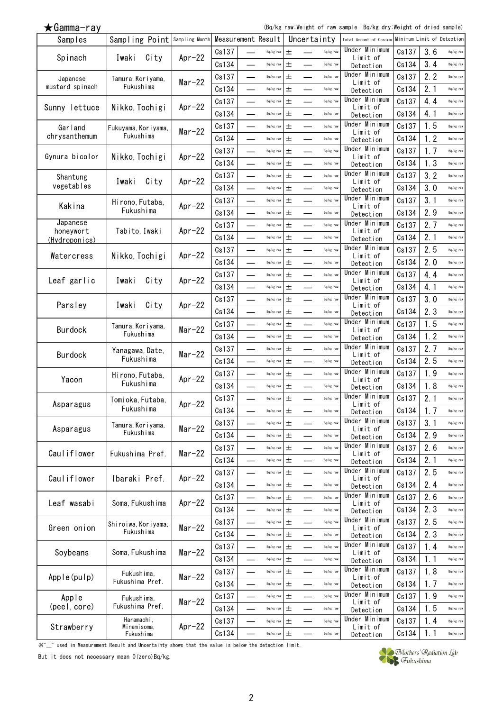(Bq/kg raw:Weight of raw sample Bq/kg dry:Weight of dried sample)

| Samples                    | Sampling Point Sampling Month Measurement Result |           |       |                             |             |       | Uncertainty |           | Total Amount of Cesium     |       | Minimum Limit of Detection |           |
|----------------------------|--------------------------------------------------|-----------|-------|-----------------------------|-------------|-------|-------------|-----------|----------------------------|-------|----------------------------|-----------|
|                            |                                                  |           | Cs137 |                             | Bq/kg raw   | 士     |             | Bq/kg raw | Under Minimum              | Cs137 | 3.6                        | Bq/kg raw |
| Spinach                    | City<br>Iwaki                                    | $Apr-22$  | Cs134 |                             | Bq/kg raw   | 土     |             | Bq/kg raw | Limit of<br>Detection      | Cs134 | 3.4                        | Bq/kg raw |
| Japanese                   | Tamura, Koriyama,                                |           | Cs137 |                             | Bq/kg raw   | 土     |             | Bq/kg raw | Under Minimum              | Cs137 | 2.2                        | Bq/kg raw |
| mustard spinach            | Fukushima                                        | $Mar-22$  | Cs134 |                             | Bq/kg raw   | 土     | —           | Bq/kg raw | Limit of<br>Detection      | Cs134 | 2.1                        | Bq/kg raw |
|                            |                                                  |           | Cs137 |                             | Bq/kg raw   | $\pm$ |             | Bq/kg raw | Under Minimum              | Cs137 | 4.4                        | Bq/kg raw |
| Sunny lettuce              | Nikko, Tochigi                                   | $Apr-22$  | Cs134 |                             | Bq/kg raw   | 土     |             | Bq/kg raw | Limit of                   | Cs134 | 4.1                        | Bq/kg raw |
|                            |                                                  |           |       |                             |             |       |             |           | Detection<br>Under Minimum | Cs137 | 1.5                        |           |
| Garland<br>chrysanthemum   | Fukuyama, Koriyama,<br>Fukushima                 | $Mar-22$  | Cs137 |                             | Bq/kg raw   | 土     |             | Bq/kg raw | Limit of                   |       |                            | Bq/kg raw |
|                            |                                                  |           | Cs134 |                             | Bq/kg raw   | 土     |             | Bq/kg raw | Detection<br>Under Minimum | Cs134 | 1.2                        | Bq/kg raw |
| Gynura bicolor             | Nikko, Tochigi                                   | $Ar-22$   | Cs137 | $\overline{\phantom{a}}$    | Bq/kg raw   | 土     | ▃           | Bq/kg raw | Limit of                   | Cs137 | 1.7                        | Bq/kg raw |
|                            |                                                  |           | Cs134 |                             | Bq/kg raw   | 土     |             | Bq/kg raw | Detection                  | Cs134 | 1.3                        | Bq/kg raw |
| Shantung                   | City<br>Iwaki                                    | Apr $-22$ | Cs137 |                             | Bq/kg raw   | 土     |             | Bq/kg raw | Under Minimum<br>Limit of  | Cs137 | 3.2                        | Bq/kg raw |
| vegetables                 |                                                  |           | Cs134 |                             | Bq/kg raw   | 土     |             | Bq/kg raw | Detection                  | Cs134 | 3.0                        | Bq/kg raw |
| Kakina                     | Hirono, Futaba,                                  | Apr $-22$ | Cs137 | $\overline{\phantom{0}}$    | Bq/kg raw   | $\pm$ | —           | Bq/kg raw | Under Minimum<br>Limit of  | Cs137 | 3.1                        | Bq/kg raw |
|                            | Fukushima                                        |           | Cs134 |                             | Bq/kg raw   | 士     |             | Bq/kg raw | Detection                  | Cs134 | 2.9                        | Bq/kg raw |
| Japanese                   |                                                  |           | Cs137 |                             | Bq/kg raw   | 士     |             | Bq/kg raw | Under Minimum<br>Limit of  | Cs137 | 2.7                        | Bq/kg raw |
| honeywort<br>(Hydroponics) | Tabito, Iwaki                                    | Apr $-22$ | Cs134 |                             | Bq/kg raw   | 土     |             | Bq/kg raw | Detection                  | Cs134 | 2.1                        | Bq/kg raw |
|                            |                                                  |           | Cs137 | $\overline{\phantom{0}}$    | Bq/kg raw   | 土     |             | Bq/kg raw | Under Minimum              | Cs137 | 2.5                        | Bq/kg raw |
| Watercress                 | Nikko, Tochigi                                   | $Apr-22$  | Cs134 | <u>e a</u>                  | Bq/kg raw   | 土     |             | Bq/kg raw | Limit of<br>Detection      | Cs134 | 2.0                        | Bq/kg raw |
|                            |                                                  |           | Cs137 |                             | Bq/kg raw   | 土     |             | Bq/kg raw | Under Minimum              | Cs137 | 4.4                        | Bq/kg raw |
| Leaf garlic                | City<br>Iwaki                                    | $Apr-22$  | Cs134 | $\sim$                      | Bq/kg raw   | 土     |             | Bq/kg raw | Limit of                   | Cs134 | 4.1                        | Bq/kg raw |
|                            |                                                  |           | Cs137 |                             | Bq/kg raw   | 土     |             | Bq/kg raw | Detection<br>Under Minimum | Cs137 | 3.0                        | Bq/kg raw |
| Parsley                    | City<br>Iwaki                                    | Apr $-22$ |       |                             |             |       |             |           | Limit of                   |       | 2.3                        |           |
|                            |                                                  |           | Cs134 |                             | Bq/kg raw   | 士     |             | Bq/kg raw | Detection<br>Under Minimum | Cs134 |                            | Bq/kg raw |
| Burdock                    | Tamura, Koriyama,<br>Fukushima                   | $Mar-22$  | Cs137 |                             | Bq/kg raw   | 土     |             | Bq/kg raw | Limit of                   | Cs137 | 1.5                        | Bq/kg raw |
|                            |                                                  |           | Cs134 |                             | Bq/kg raw   | 士     |             | Bq/kg raw | Detection                  | Cs134 | 1.2                        | Bq/kg raw |
| Burdock                    | Yanagawa, Date,                                  | $Mar-22$  | Cs137 |                             | Bq/kg raw   | 土     |             | Bq/kg raw | Under Minimum<br>Limit of  | Cs137 | 2.7                        | Bq/kg raw |
|                            | Fukushima                                        |           | Cs134 |                             | Bq/kg raw   | 士     |             | Bq/kg raw | Detection                  | Cs134 | 2.5                        | Bq/kg raw |
| Yacon                      | Hirono, Futaba,                                  | Apr $-22$ | Cs137 | $\mathcal{L}_{\mathcal{A}}$ | Bq/kg raw   | 土     |             | Bq/kg raw | Under Minimum<br>Limit of  | Cs137 | 1.9                        | Bq/kg raw |
|                            | Fukushima                                        |           | Cs134 |                             | Bq/kg raw   | 土     |             | Bq/kg raw | Detection                  | Cs134 | 1.8                        | Bq/kg raw |
| Asparagus                  | Tomioka, Futaba,                                 | Apr $-22$ | Cs137 |                             | Bq/kg raw   | 土     |             | Bq/kg raw | Under Minimum<br>Limit of  | Cs137 | 2.1                        | Bq/kg raw |
|                            | Fukushima                                        |           | Cs134 |                             | $Bq/kg$ raw | 土     |             | Bq/kg raw | Detection                  | Cs134 | 1.7                        | Bq/kg raw |
|                            | Tamura, Koriyama,                                |           | Cs137 |                             | Bq/kg raw   | 土     |             | Bq/kg raw | Under Minimum              | Cs137 | 3.1                        | Bq/kg raw |
| Asparagus                  | Fukushima                                        | $Mar-22$  | Cs134 |                             | Bq/kg raw   | 土     |             | Bq/kg raw | Limit of<br>Detection      | Cs134 | 2.9                        | Bq/kg raw |
|                            |                                                  |           | Cs137 |                             | Bq/kg raw   | 土     |             | Bq/kg raw | Under Minimum              | Cs137 | 2.6                        | Bq/kg raw |
| Cauliflower                | Fukushima Pref.                                  | $Mar-22$  | Cs134 |                             | Bq/kg raw   | 土     |             | Bq/kg raw | Limit of<br>Detection      | Cs134 | 2.1                        | Bq/kg raw |
|                            |                                                  |           | Cs137 |                             | Bq/kg raw   | 土     |             | Bq/kg raw | Under Minimum              | Cs137 | 2.5                        | Bq/kg raw |
| Cauliflower                | Ibaraki Pref.                                    | $Apr-22$  | Cs134 |                             | Bq/kg raw   | 土     |             | Bq/kg raw | Limit of                   | Cs134 | 2.4                        | Bq/kg raw |
|                            |                                                  |           |       |                             |             |       |             |           | Detection<br>Under Minimum |       | 2.6                        |           |
| Leaf wasabi                | Soma, Fukushima                                  | Apr $-22$ | Cs137 |                             | Bq/kg raw   | 土     |             | Bq/kg raw | Limit of                   | Cs137 |                            | Bq/kg raw |
|                            |                                                  |           | Cs134 | -                           | Bq/kg raw   | 土     |             | Bq/kg raw | Detection<br>Under Minimum | Cs134 | 2.3                        | Bq/kg raw |
| Green onion                | Shiroiwa, Koriyama,                              | $Mar-22$  | Cs137 |                             | $Bq/kg$ raw | 土     |             | Bq/kg raw | Limit of                   | Cs137 | 2.5                        | Bq/kg raw |
|                            | Fukushima                                        |           | Cs134 |                             | Bq/kg raw   | 土     |             | Bq/kg raw | Detection                  | Cs134 | 2.3                        | Bq/kg raw |
| Soybeans                   | Soma, Fukushima                                  | $Mar-22$  | Cs137 |                             | Bq/kg raw   | 土     |             | Bq/kg raw | Under Minimum<br>Limit of  | Cs137 | 1.4                        | Bq/kg raw |
|                            |                                                  |           | Cs134 |                             | Bq/kg raw   | 土     |             | Bq/kg raw | Detection                  | Cs134 | 1.1                        | Bq/kg raw |
| Apple(pulp)                | Fukushima,                                       | $Mar-22$  | Cs137 |                             | Bq/kg raw   | 土     |             | Bq/kg raw | Under Minimum<br>Limit of  | Cs137 | 1.8                        | Bq/kg raw |
|                            | Fukushima Pref.                                  |           | Cs134 |                             | Bq/kg raw   | 土     |             | Bq/kg raw | Detection                  | Cs134 | 1.7                        | Bq/kg raw |
| Apple                      | Fukushima,                                       |           | Cs137 |                             | Bq/kg raw   | 土     |             | Bq/kg raw | Under Minimum              | Cs137 | 1.9                        | Bq/kg raw |
| (peel, core)               | Fukushima Pref.                                  | $Mar-22$  | Cs134 |                             | Bq/kg raw   | 土     |             | Bq/kg raw | Limit of<br>Detection      | Cs134 | 1.5                        | Bq/kg raw |
|                            | Haramachi,                                       |           | Cs137 |                             | Bq/kg raw   | 土     |             | Bq/kg raw | Under Minimum              | Cs137 | 1.4                        | Bq/kg raw |
| Strawberry                 | Minamisoma,<br>Fukushima                         | Apr $-22$ | Cs134 |                             | $Bq/kg$ raw | $\pm$ |             | Bq/kg raw | Limit of<br>Detection      | Cs134 | 1.1                        | Bq/kg raw |
|                            |                                                  |           |       |                             |             |       |             |           |                            |       |                            |           |

**Which the measurement Result and Uncertainty shows that the value is below the detection limit.** 

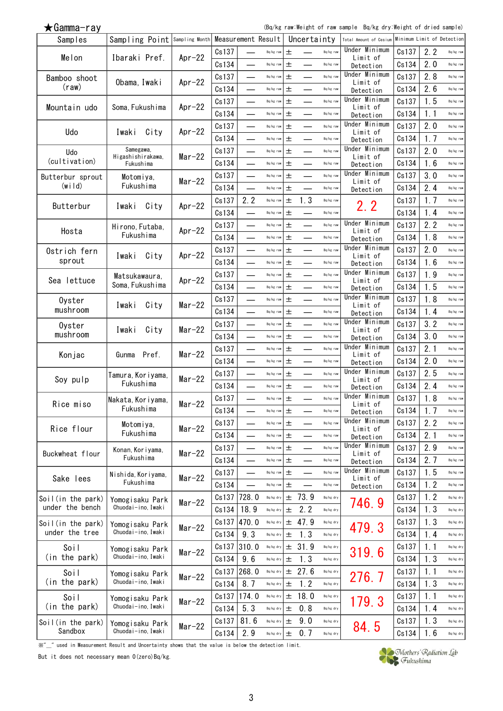(Bq/kg raw:Weight of raw sample Bq/kg dry:Weight of dried sample)

| Samples                             | Sampling Point Sampling Month Measurement Result |           |       |                             |             |       | Uncertainty |             | Total Amount of Cesium     | Minimum Limit of Detection |     |           |
|-------------------------------------|--------------------------------------------------|-----------|-------|-----------------------------|-------------|-------|-------------|-------------|----------------------------|----------------------------|-----|-----------|
|                                     |                                                  | $Ar-22$   | Cs137 |                             | Bq/kg raw   | 士     |             | Bq/kg raw   | Under Minimum              | Cs137                      | 2.2 | Bq/kg raw |
| Melon                               | Ibaraki Pref.                                    |           | Cs134 |                             | Bq/kg raw   | 土     |             | Bq/kg raw   | Limit of<br>Detection      | Cs134                      | 2.0 | Bq/kg raw |
| Bamboo shoot                        |                                                  |           | Cs137 |                             | Bq/kg raw   | 土     |             | Bq/kg raw   | Under Minimum              | Cs137                      | 2.8 | Bq/kg raw |
| (raw)                               | Obama, Iwaki                                     | Apr $-22$ | Cs134 |                             | Bq/kg raw   | 土     |             | Bq/kg raw   | Limit of<br>Detection      | Cs134                      | 2.6 | Bq/kg raw |
|                                     |                                                  |           | Cs137 |                             | Bq/kg raw   | $\pm$ |             | Bq/kg raw   | Under Minimum              | Cs137                      | 1.5 | Bq/kg raw |
| Mountain udo                        | Soma, Fukushima                                  | $Ar-22$   | Cs134 |                             | Bq/kg raw   | 土     |             | Bq/kg raw   | Limit of                   | Cs134                      | 1.1 | Bq/kg raw |
|                                     |                                                  |           | Cs137 |                             |             | 土     |             | Bq/kg raw   | Detection<br>Under Minimum | Cs137                      | 2.0 | Bq/kg raw |
| Udo                                 | City<br>Iwaki                                    | $Ar-22$   |       |                             | Bq/kg raw   |       |             |             | Limit of                   |                            |     |           |
|                                     | Samegawa,                                        |           | Cs134 |                             | Bq/kg raw   | 土     |             | Bq/kg raw   | Detection<br>Under Minimum | Cs134                      | 1.7 | Bq/kg raw |
| Udo<br>(cultivation)                | Higashishirakawa,                                | $Mar-22$  | Cs137 | $\overline{\phantom{a}}$    | Bq/kg raw   | 土     | ▃           | Bq/kg raw   | Limit of                   | Cs137                      | 2.0 | Bq/kg raw |
|                                     | Fukushima                                        |           | Cs134 |                             | Bq/kg raw   | 土     |             | Bq/kg raw   | Detection<br>Under Minimum | Cs134                      | 1.6 | Bq/kg raw |
| Butterbur sprout                    | Motomiya,                                        | $Mar-22$  | Cs137 |                             | Bq/kg raw   | 土     |             | Bq/kg raw   | Limit of                   | Cs137                      | 3.0 | Bq/kg raw |
| (w <sub>i</sub>   <sub>d</sub> )    | Fukushima                                        |           | Cs134 |                             | Bq/kg raw   | 土     |             | Bq/kg raw   | Detection                  | Cs134                      | 2.4 | Bq/kg raw |
| Butterbur                           | City<br>Iwaki                                    | Apr $-22$ | Cs137 | 2.2                         | Bq/kg raw   | 士     | 1.3         | Bq/kg raw   | 2. 2                       | Cs137                      | 1.7 | Bq/kg raw |
|                                     |                                                  |           | Cs134 |                             | Bq/kg raw   | 士     |             | Bq/kg raw   |                            | Cs134                      | 1.4 | Bq/kg raw |
| Hosta                               | Hirono, Futaba,                                  | $Apr-22$  | Cs137 |                             | Bq/kg raw   | 士     |             | Bq/kg raw   | Under Minimum<br>Limit of  | Cs137                      | 2.2 | Bq/kg raw |
|                                     | Fukushima                                        |           | Cs134 |                             | Bq/kg raw   | 土     |             | Bq/kg raw   | Detection                  | Cs134                      | 1.8 | Bq/kg raw |
| Ostrich fern                        |                                                  |           | Cs137 | $\overline{\phantom{0}}$    | Bq/kg raw   | 土     |             | Bq/kg raw   | Under Minimum              | Cs137                      | 2.0 | Bq/kg raw |
| sprout                              | City<br>Iwaki                                    | $Apr-22$  | Cs134 | $\overline{\phantom{0}}$    | Bq/kg raw   | 土     |             | Bq/kg raw   | Limit of<br>Detection      | Cs134                      | 1.6 | Bq/kg raw |
|                                     | Matsukawaura,                                    |           | Cs137 |                             | Bq/kg raw   | 土     |             | Bq/kg raw   | Under Minimum              | Cs137                      | 1.9 | Bq/kg raw |
| Sea lettuce                         | Soma, Fukushima                                  | $Apr-22$  | Cs134 | $\sim$                      | Bq/kg raw   | 土     |             | Bq/kg raw   | Limit of<br>Detection      | Cs134                      | 1.5 | Bq/kg raw |
| Oyster                              |                                                  |           | Cs137 | and a                       | Bq/kg raw   | 土     |             | Bq/kg raw   | Under Minimum              | Cs137                      | 1.8 | Bq/kg raw |
| mushroom                            | Iwaki<br>City                                    | $Mar-22$  | Cs134 |                             | Bq/kg raw   | 士     |             | Bq/kg raw   | Limit of                   | Cs134                      | 1.4 | Bq/kg raw |
|                                     |                                                  |           |       |                             |             | 土     |             | Bq/kg raw   | Detection<br>Under Minimum |                            | 3.2 |           |
| Oyster<br>mushroom                  | City<br>Iwaki                                    | $Mar-22$  | Cs137 |                             | Bq/kg raw   |       |             |             | Limit of                   | Cs137                      |     | Bq/kg raw |
|                                     |                                                  |           | Cs134 |                             | Bq/kg raw   | 士     |             | Bq/kg raw   | Detection<br>Under Minimum | Cs134                      | 3.0 | Bq/kg raw |
| Konjac                              | Pref.<br>Gunma                                   | $Mar-22$  | Cs137 |                             | Bq/kg raw   | 土     |             | Bq/kg raw   | Limit of                   | Cs137                      | 2.1 | Bq/kg raw |
|                                     |                                                  |           | Cs134 | <u>in</u>                   | Bq/kg raw   | 士     |             | Bq/kg raw   | Detection                  | Cs134                      | 2.0 | Bq/kg raw |
| Soy pulp                            | Tamura, Koriyama,                                | $Mar-22$  | Cs137 | $\mathcal{L}_{\mathcal{A}}$ | Bq/kg raw   | 土     |             | Bq/kg raw   | Under Minimum<br>Limit of  | Cs137                      | 2.5 | Bq/kg raw |
|                                     | Fukushima                                        |           | Cs134 |                             | Bq/kg raw   | 土     |             | Bq/kg raw   | Detection                  | Cs134                      | 2.4 | Bq/kg raw |
| Rice miso                           | Nakata, Koriyama,                                | $Mar-22$  | Cs137 |                             | Bq/kg raw   | 土     |             | Bq/kg raw   | Under Minimum<br>Limit of  | Cs137                      | 1.8 | Bq/kg raw |
|                                     | Fukushima                                        |           | Cs134 |                             | $Bq/kg$ raw | 土     |             | Bq/kg raw   | Detection                  | Cs134                      | 1.7 | Bq/kg raw |
|                                     | Motomiya,                                        |           | Cs137 |                             | Bq/kg raw   | 土     |             | Bq/kg raw   | Under Minimum              | Cs137                      | 2.2 | Bq/kg raw |
| Rice flour                          | Fukushima                                        | $Mar-22$  | Cs134 |                             | Bq/kg raw   | 士     |             | Bq/kg raw   | Limit of<br>Detection      | Cs134                      | 2.1 | Bq/kg raw |
|                                     | Konan, Koriyama,                                 |           | Cs137 |                             | Bq/kg raw   | 士     |             | Bq/kg raw   | Under Minimum              | Cs137                      | 2.9 | Bq/kg raw |
| Buckwheat flour                     | Fukushima                                        | $Mar-22$  | Cs134 |                             | Bq/kg raw   | 土     |             | Bq/kg raw   | Limit of<br>Detection      | Cs134                      | 2.7 | Bq/kg raw |
|                                     | Nishida, Koriyama,                               |           | Cs137 |                             | Bq/kg raw   | 土     |             | Bq/kg raw   | Under Minimum              | Cs137                      | 1.5 | Bq/kg raw |
| Sake lees                           | Fukushima                                        | $Mar-22$  | Cs134 |                             | $Bq/kg$ raw | 土     |             | Bq/kg raw   | Limit of<br>Detection      | Cs134                      | 1.2 | Bq/kg raw |
| Soil(in the park)                   |                                                  |           | Cs137 | 728.0                       | Bq/kg dry   |       | ± 73.9      | Bq/kg dry   |                            | Cs137                      | 1.2 | Bq/kg dry |
| under the bench                     | Yomogisaku Park<br>Chuodai-ino. Iwaki            | $Mar-22$  | Cs134 | 18.9                        | Bq/kg dry   | 土     | 2.2         | Bq/kg dry   | 746.9                      | Cs134                      | 1.3 | Bq/kg dry |
|                                     |                                                  |           | Cs137 | 470.0                       | Bq/kg dry   |       | ± 47.9      | Bq/kg dry   |                            |                            | 1.3 | Bq/kg dry |
| Soil(in the park)<br>under the tree | Yomogisaku Park<br>Chuodai-ino, Iwaki            | $Mar-22$  |       |                             |             |       |             |             | 479.3                      | Cs137                      |     |           |
|                                     |                                                  |           | Cs134 | 9.3                         | Bq/kg dry   | 士     | 1.3         | Bq/kg dry   |                            | Cs134                      | 1.4 | Bq/kg dry |
| Soil                                | Yomogisaku Park                                  | $Mar-22$  | Cs137 | 310.0                       | $Bq/kg$ dry |       | ± 31.9      | Bq/kg dry   | 319.6                      | Cs137                      | 1.1 | Bq/kg dry |
| (in the park)                       | Chuodai-ino, Iwaki                               |           | Cs134 | 9.6                         | Bq/kg dry   | 土     | 1.3         | Bq/kg dry   |                            | Cs134                      | 1.3 | Bq/kg dry |
| Soil                                | Yomogisaku Park                                  | $Mar-22$  | Cs137 | 268.0                       | $Bq/kg$ dry | 土     | 27.6        | $Bq/kg$ dry | 276.7                      | Cs137                      | 1.1 | Bq/kg dry |
| (in the park)                       | Chuodai-ino, Iwaki                               |           | Cs134 | 8.7                         | Bq/kg dry   | $\pm$ | 1.2         | Bq/kg dry   |                            | Cs134                      | 1.3 | Bq/kg dry |
| Soil                                | Yomogisaku Park                                  | $Mar-22$  | Cs137 | 174.0                       | $Bq/kg$ dry | $\pm$ | 18.0        | Bq/kg dry   | 179.3                      | Cs137                      | 1.1 | Bq/kg dry |
| (in the park)                       | Chuodai-ino, Iwaki                               |           | Cs134 | 5.3                         | Bq/kg dry   | 土     | 0.8         | Bq/kg dry   |                            | Cs134                      | 1.4 | Bq/kg dry |
| Soil(in the park)                   | Yomogisaku Park                                  |           | Cs137 | 81.6                        | $Bq/kg$ dry | 士     | 9.0         | Bq/kg dry   |                            | Cs137                      | 1.3 | Bq/kg dry |
| Sandbox                             | Chuodai-ino, Iwaki                               | $Mar-22$  | Cs134 | 2.9                         | $Bq/kg$ dry | 士     | 0.7         | Bq/kg dry   | 84.5                       | Cs134                      | 1.6 | Bq/kg dry |

**Which the measurement Result and Uncertainty shows that the value is below the detection limit.** 

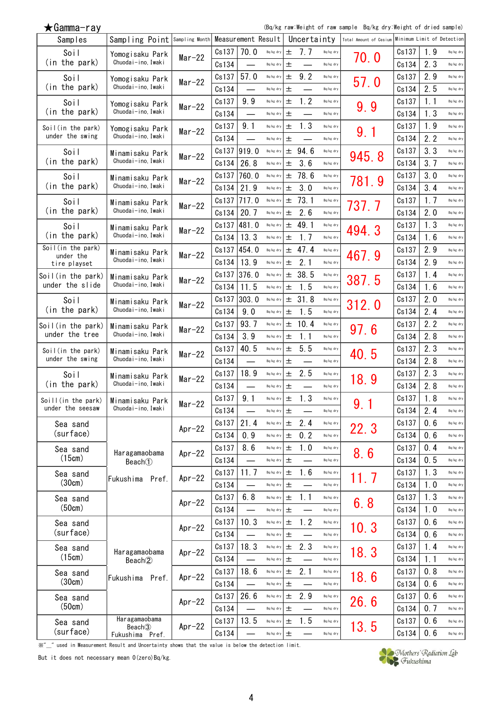(Bq/kg raw:Weight of raw sample Bq/kg dry:Weight of dried sample)

| Samples                        | Sampling Point Sampling Month         |           |       | Measurement Result |                                 |       | Uncertainty |           | Total Amount of Cesium | Minimum Limit of Detectionl |      |           |
|--------------------------------|---------------------------------------|-----------|-------|--------------------|---------------------------------|-------|-------------|-----------|------------------------|-----------------------------|------|-----------|
| Soil                           | Yomogisaku Park                       | $Mar-22$  | Cs137 | 70.0               | Bq/kg dry                       | $\pm$ | 7.7         | Bq/kg dry | 70.0                   | Cs137                       | 1.9  | Bq/kg dry |
| (in the park)                  | Chuodai-ino, Iwaki                    |           | Cs134 |                    | Bq/kg dry                       | 土     |             | Bq/kg dry |                        | Cs134                       | 2.3  | Bq/kg dry |
| Soil                           | Yomogisaku Park                       | $Mar-22$  | Cs137 | 57.0               | Bq/kg dry                       | 土     | 9.2         | Bq/kg dry | 57.0                   | Cs137                       | 2.9  | Bq/kg dry |
| (in the park)                  | Chuodai-ino, Iwaki                    |           | Cs134 |                    | Bq/kg dry                       | 土     |             | Bq/kg dry |                        | Cs134                       | 2.5  | Bq/kg dry |
| Soil                           | Yomogisaku Park                       | $Mar-22$  | Cs137 | 9.9                | Bq/kg dry                       | 土     | 1.2         | Bq/kg dry | 9.9                    | Cs137                       | 1.1  | Bq/kg dry |
| (in the park)                  | Chuodai-ino, Iwaki                    |           | Cs134 |                    | Bq/kg dry                       | 土     |             | Bq/kg dry |                        | Cs134                       | 1.3  | Bq/kg dry |
| Soil(in the park)              | Yomogisaku Park                       | $Mar-22$  | Cs137 | 9.1                | Bq/kg dry                       | 土     | 1.3         | Bq/kg dry | 9.1                    | Cs137                       | 1.9  | Bq/kg dry |
| under the swing                | Chuodai-ino, Iwaki                    |           | Cs134 |                    | Bq/kg dry                       | 土     |             | Bq/kg dry |                        | Cs134                       | 2.2  | Bq/kg dry |
| Soil                           | Minamisaku Park                       | $Mar-22$  | Cs137 | 919.0              | Bq/kg dry                       |       | $±$ 94.6    | Bq/kg dry | 945.8                  | Cs137                       | 3.3  | Bq/kg dry |
| (in the park)                  | Chuodai-ino, Iwaki                    |           | Cs134 | 26.8               | Bq/kg dry                       | 土     | 3.6         | Bq/kg dry |                        | Cs134                       | 3.7  | Bq/kg dry |
| Soil                           | Minamisaku Park                       | $Mar-22$  | Cs137 | 760.0              | Bq/kg dry                       | 土     | 78.6        | Bq/kg dry | 781.9                  | Cs137                       | 3.0  | Bq/kg dry |
| (in the park)                  | Chuodai-ino, Iwaki                    |           | Cs134 | 21.9               | Bq/kg dry                       | 士     | 3.0         | Bq/kg dry |                        | Cs134                       | 3.4  | Bq/kg dry |
| Soil                           | Minamisaku Park                       | $Mar-22$  | Cs137 | 717.0              | Bq/kg dry                       | 土     | 73.1        | Bq/kg dry | 737.7                  | Cs137                       | 1.7  | Bq/kg dry |
| (in the park)                  | Chuodai-ino, Iwaki                    |           | Cs134 | 20.7               | Bq/kg dry                       | 土     | 2.6         | Bq/kg dry |                        | Cs134                       | 2.0  | Bq/kg dry |
| Soil                           | Minamisaku Park                       | $Mar-22$  | Cs137 | 481.0              | Bq/kg dry                       | 土     | 49.1        | Bq/kg dry | 494.3                  | Cs137                       | 1.3  | Bq/kg dry |
| (in the park)                  | Chuodai-ino, Iwaki                    |           | Cs134 | 13.3               | Bq/kg dry                       | 士     | 1.7         | Bq/kg dry |                        | Cs134                       | 1.6  | Bq/kg dry |
| Soil(in the park)<br>under the | Minamisaku Park                       | $Mar-22$  | Cs137 | 454.0              | $\mathsf{Bq}/\mathsf{kg}\,$ dry | 土     | 47.4        | Bq/kg dry | 467.9                  | Cs137                       | 2.9  | Bq/kg dry |
| tire playset                   | Chuodai-ino, Iwaki                    |           | Cs134 | 13.9               | Bq/kg dry                       | 士     | 2.1         | Bq/kg dry |                        | Cs134                       | 2.9  | Bq/kg dry |
| Soil(in the park)              | Minamisaku Park                       | $Mar-22$  | Cs137 | 376.0              | Bq/kg dry                       | 士     | 38.5        | Bq/kg dry | 387.5                  | Cs137                       | 1.4  | Bq/kg dry |
| under the slide                | Chuodai-ino, Iwaki                    |           | Cs134 | 11.5               | Bq/kg dry                       | 土     | 1.5         | Bq/kg dry |                        | Cs134                       | 1.6  | Bq/kg dry |
| Soil                           | Minamisaku Park                       | $Mar-22$  | Cs137 | 303.0              | Bq/kg dry                       | $\pm$ | 31.8        | Bq/kg dry | 312.0                  | Cs137                       | 2.0  | Bq/kg dry |
| (in the park)                  | Chuodai-ino, Iwaki                    |           | Cs134 | 9.0                | Bq/kg dry                       | 土     | 1.5         | Bq/kg dry |                        | Cs134                       | 2.4  | Bq/kg dry |
| Soil(in the park)              | Minamisaku Park                       | $Mar-22$  | Cs137 | 93.7               | Bq/kg dry                       | 土     | 10.4        | Bq/kg dry | 97.6                   | Cs137                       | 2.2  | Bq/kg dry |
| under the tree                 | Chuodai-ino, Iwaki                    |           | Cs134 | 3.9                | Bq/kg dry                       | 土     | 1.1         | Bq/kg dry |                        | Cs134                       | 2.8  | Bq/kg dry |
| Soil(in the park)              | Minamisaku Park                       | $Mar-22$  | Cs137 | 40.5               | Bq/kg dry                       | 土     | 5.5         | Bq/kg dry | 40.5                   | Cs137                       | 2.3  | Bq/kg dry |
| under the swing                | Chuodai-ino, Iwaki                    |           | Cs134 |                    | Bq/kg dry                       | 土     |             | Bq/kg dry |                        | Cs134                       | 2.8  | Bq/kg dry |
| Soil                           | Minamisaku Park                       | $Mar-22$  | Cs137 | 18.9               | Bq/kg dry                       | 土     | 2.5         | Bq/kg dry | 18.9                   | Cs137                       | 2.3  | Bq/kg dry |
| (in the park)                  | Chuodai-ino, Iwaki                    |           | Cs134 |                    | Bq/kg dry                       | 土     |             | Bq/kg dry |                        | Cs134                       | 2.8  | Bq/kg dry |
| Soill(in the park)             | Minamisaku Park                       | $Mar-22$  | Cs137 | 9.1                | Bq/kg dry                       | 土     | 1.3         | Bq/kg dry | 9.1                    | Cs137                       | 1.8  | Bq/kg dry |
| under the seesaw               | Chuodai-ino, Iwaki                    |           | Cs134 |                    | Bq/kg dry                       | 土     |             | Bq/kg dry |                        | Cs134                       | 2.4  | Bq/kg dry |
| Sea sand                       |                                       | Apr $-22$ | Cs137 | 21.4               | Bq/kg dry                       | 土     | 2.4         | Bq/kg dry | 22.3                   | Cs137                       | 0.6  | Bq/kg dry |
| (surface)                      |                                       |           | Cs134 | 0.9                | Bq/kg dry                       | 土     | 0.2         | Bq/kg dry |                        | Cs134                       | 0.6  | Bq/kg dry |
| Sea sand                       | Haragamaobama                         | Apr $-22$ | Cs137 | 8.6                | Bq/kg dry                       | 士     | 1.0         | Bq/kg dry | 8.6                    | Cs137                       | 0.4  | Bq/kg dry |
| (15cm)                         | Beach <sup>(1)</sup>                  |           | Cs134 |                    | Bq/kg dry                       | 士     |             | Bq/kg dry |                        | Cs134                       | 0.5  | Bq/kg dry |
| Sea sand                       | Fukushima Pref.                       | Apr $-22$ | Cs137 | 11.7               | Bq/kg dry                       | 土     | 1.6         | Bq/kg dry | 11.7                   | Cs137                       | 1.3  | Bq/kg dry |
| (30cm)                         |                                       |           | Cs134 |                    | Bq/kg dry                       | 土     |             | Bq/kg dry |                        | Cs134                       | 1.0  | Bq/kg dry |
| Sea sand                       |                                       | Apr $-22$ | Cs137 | 6.8                | Bq/kg dry                       | 土     | 1.1         | Bq/kg dry | 6.8                    | Cs137                       | 1.3  | Bq/kg dry |
| (50cm)                         |                                       |           | Cs134 |                    | Bq/kg dry                       | 土     |             | Bq/kg dry |                        | Cs134                       | 1.0  | Bq/kg dry |
| Sea sand                       |                                       | $Ar-22$   | Cs137 | 10.3               | Bq/kg dry                       | 士     | 1.2         | Bq/kg dry | 10.3                   | Cs137                       | 0.6  | Bq/kg dry |
| (surface)                      |                                       |           | Cs134 |                    | Bq/kg dry                       | 土     |             | Bq/kg dry |                        | Cs134                       | 0.6  | Bq/kg dry |
| Sea sand                       | Haragamaobama                         | $Ar-22$   | Cs137 | 18.3               | Bq/kg dry                       | $\pm$ | 2.3         | Bq/kg dry | 18.3                   | Cs137                       | 1.4  | Bq/kg dry |
| (15cm)                         | Beach <sup>(2)</sup>                  |           | Cs134 |                    | Bq/kg dry                       | 土     |             | Bq/kg dry |                        | Cs134                       | 1.1  | Bq/kg dry |
| Sea sand                       | Fukushima Pref.                       | $Ar-22$   | Cs137 | 18.6               | Bq/kg dry                       | $\pm$ | 2.1         | Bq/kg dry | 18.6                   | Cs137                       | 0, 8 | Bq/kg dry |
| (30cm)                         |                                       |           | Cs134 |                    | Bq/kg dry                       | 土     |             | Bq/kg dry |                        | Cs134                       | 0.6  | Bq/kg dry |
| Sea sand                       |                                       | Apr $-22$ | Cs137 | 26.6               | Bq/kg dry                       | $\pm$ | 2.9         | Bq/kg dry | 26.6                   | Cs137                       | 0.6  | Bq/kg dry |
| (50cm)                         |                                       |           | Cs134 |                    | Bq/kg dry                       | 士     |             | Bq/kg dry |                        | Cs134                       | 0.7  | Bq/kg dry |
| Sea sand                       | Haragamaobama<br>Beach <sub>(3)</sub> | $Ar-22$   | Cs137 | 13.5               | Bq/kg dry                       | 土     | 1.5         | Bq/kg dry | 13.5                   | Cs137                       | 0.6  | Bq/kg dry |
| (surface)                      | Fukushima Pref.                       |           | Cs134 |                    | Bq/kg dry                       | $\pm$ |             | Bq/kg dry |                        | Cs134                       | 0.6  | Bq/kg dry |

**Willie** we in Measurement Result and Uncertainty shows that the value is below the detection limit.

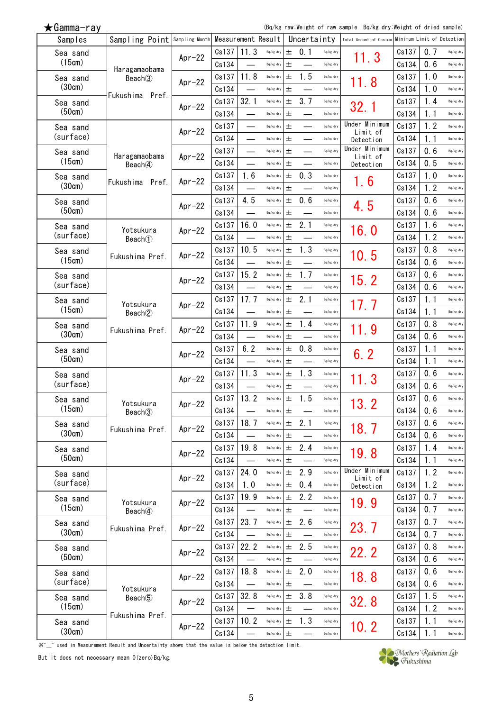(Bq/kg raw:Weight of raw sample Bq/kg dry:Weight of dried sample)

| Samples               | Sampling Point Sampling Month     |           |                | Measurement Result |                                 |            | Uncertainty |                        | Total Amount of Cesium    | Minimum Limit of Detection |            |                        |
|-----------------------|-----------------------------------|-----------|----------------|--------------------|---------------------------------|------------|-------------|------------------------|---------------------------|----------------------------|------------|------------------------|
| Sea sand              |                                   | Apr $-22$ | Cs137          | 11.3               | Bq/kg dry                       | 士          | 0.1         | Bq/kg dry              | 11.3                      | Cs137                      | 0.7        | Bq/kg dry              |
| (15cm)                | Haragamaobama                     |           | Cs134          |                    | Bq/kg dry                       | 土          |             | Bq/kg dry              |                           | Cs134                      | 0.6        | Bq/kg dry              |
| Sea sand              | Beach <sup>3</sup>                | Apr $-22$ | Cs137          | 11.8               | Bq/kg dry                       | 土          | 1.5         | Bq/kg dry              | 11.8                      | Cs137                      | 1.0        | Bq/kg dry              |
| (30cm)                | Fukushima<br>Pref.                |           | Cs134          |                    | Bq/kg dry                       | 土          |             | Bq/kg dry              |                           | Cs134                      | 1.0        | Bq/kg dry              |
| Sea sand              |                                   | Apr $-22$ | Cs137          | 32.1               | Bq/kg dry                       | 土          | 3.7         | Bq/kg dry              | 32.1                      | Cs137                      | 1.4        | Bq/kg dry              |
| (50cm)                |                                   |           | Cs134          |                    | Bq/kg dry                       | 土          |             | Bq/kg dry              |                           | Cs134                      | 1.1        | Bq/kg dry              |
| Sea sand              |                                   | $Apr-22$  | Cs137          |                    | Bq/kg dry                       | 土          |             | Bq/kg dry              | Under Minimum<br>Limit of | Cs137                      | 1.2        | Bq/kg dry              |
| (surface)             |                                   |           | Cs134          |                    | Bq/kg dry                       | 土          |             | Bq/kg dry              | Detection                 | Cs134                      | 1.1        | Bq/kg dry              |
| Sea sand              | Haragamaobama                     | $Apr-22$  | Cs137          |                    | Bq/kg dry                       | 土          |             | Bq/kg dry              | Under Minimum<br>Limit of | Cs137                      | 0.6        | Bq/kg dry              |
| (15cm)                | Beach <sub>4</sub>                |           | Cs134          |                    | Bq/kg dry                       | 土          |             | Bq/kg dry              | Detection                 | Cs134                      | 0.5        | Bq/kg dry              |
| Sea sand              | Fukushima<br>Pref.                | Apr $-22$ | Cs137          | 1.6                | Bq/kg dry                       | 土          | 0.3         | Bq/kg dry              | 6                         | Cs137                      | 1.0        | Bq/kg dry              |
| (30cm)                |                                   |           | Cs134          |                    | Bq/kg dry                       | 土          |             | Bq/kg dry              |                           | Cs134                      | 1.2        | Bq/kg dry              |
| Sea sand              |                                   | $Apr-22$  | Cs137          | 4.5                | Bq/kg dry                       | 土          | 0.6         | Bq/kg dry              | 4.5                       | Cs137                      | 0.6        | Bq/kg dry              |
| (50cm)                |                                   |           | Cs134          |                    | Bq/kg dry                       | 土          |             | Bq/kg dry              |                           | Cs134                      | 0.6        | Bq/kg dry              |
| Sea sand              | Yotsukura                         | Apr $-22$ | Cs137          | 16.0               | Bq/kg dry                       | 土          | 2.1         | Bq/kg dry              | 16.0                      | Cs137                      | 1.6        | Bq/kg dry              |
| (surface)             | Beach                             |           | Cs134          |                    | Bq/kg dry                       | 土          |             | Bq/kg dry              |                           | Cs134                      | 1.2        | Bq/kg dry              |
| Sea sand              | Fukushima Pref.                   | Apr $-22$ | Cs137          | 10.5               | Bq/kg dry                       | 士          | 1.3         | Bq/kg dry              | 10.5                      | Cs137                      | 0.8        | Bq/kg dry              |
| (15cm)                |                                   |           | Cs134          |                    | Bq/kg dry                       | 土          |             | Bq/kg dry              |                           | Cs134                      | 0.6        | Bq/kg dry              |
| Sea sand              |                                   | Apr $-22$ | Cs137          | 15.2               | Bq/kg dry                       | 土          | 1.7         | Bq/kg dry              | 15.2                      | Cs137                      | 0.6        | Bq/kg dry              |
| (surface)             |                                   |           | Cs134          |                    | Bq/kg dry                       | 土          |             | Bq/kg dry              |                           | Cs134                      | 0.6        | Bq/kg dry              |
| Sea sand              | Yotsukura                         | $Ar-22$   | Cs137          | 17.7               | Bq/kg dry                       | 土          | 2.1         | Bq/kg dry              | 17. 7                     | Cs137                      | 1.1        | Bq/kg dry              |
| (15cm)                | Beach <sup>2</sup>                |           | Cs134          |                    | Bq/kg dry                       | 土          |             | Bq/kg dry              |                           | Cs134                      | 1.1        | Bq/kg dry              |
| Sea sand<br>(30cm)    | Fukushima Pref.                   | $Ar-22$   | Cs137          | 11.9               | Bq/kg dry                       | 土          | 1.4         | Bq/kg dry              | 11.9                      | Cs137                      | 0.8        | Bq/kg dry              |
|                       |                                   |           | Cs134          |                    | Bq/kg dry                       | 土          |             | Bq/kg dry              |                           | Cs134                      | 0.6        | Bq/kg dry              |
| Sea sand<br>(50cm)    |                                   | $Ar-22$   | Cs137          | 6.2                | Bq/kg dry                       | 土          | 0.8         | Bq/kg dry              | 6.2                       | Cs137                      | 1.1        | Bq/kg dry              |
|                       |                                   |           | Cs134          |                    | Bq/kg dry                       | 土          |             | Bq/kg dry              |                           | Cs134                      | 1.1        | Bq/kg dry              |
| Sea sand<br>(surface) |                                   | Apr $-22$ | Cs137          | 11.3               | Bq/kg dry                       | $\pm$      | 1, 3        | Bq/kg dry              | 11.3                      | Cs137                      | 0.6        | Bq/kg dry              |
|                       |                                   |           | Cs134          | 13.2               | Bq/kg dry                       | 土          | 1.5         | Bq/kg dry              |                           | Cs134                      | 0.6<br>0.6 | Bq/kg dry              |
| Sea sand<br>(15cm)    | Yotsukura                         | $Apr-22$  | Cs137<br>Cs134 |                    | Bq/kg dry<br>Bq/kg dry          | 土          |             | Bq/kg dry<br>Bq/kg dry | 13. 2                     | Cs137                      | 0.6        | Bq/kg dry<br>Bq/kg dry |
|                       | Beach <sup>3</sup>                |           | Cs137          | 18.7               | Bq/kg dry                       | $\pm$<br>士 | 2.1         | Bq/kg dry              |                           | Cs134<br>Cs137             | 0.6        | Bq/kg dry              |
| Sea sand<br>(30cm)    | Fukushima Pref.                   | Apr $-22$ | Cs134          |                    | Bq/kg dry                       | 土          |             | Bq/kg dry              | 18.7                      | Cs134                      | 0.6        | Bq/kg dry              |
|                       |                                   |           | Cs137          | 19.8               | Bq/kg dry                       | 土          | 2.4         | Bq/kg dry              |                           | Cs137                      | 1.4        | Bq/kg dry              |
| Sea sand<br>(50cm)    |                                   | $Apr-22$  | Cs134          |                    | Bq/kg dry                       | 士          |             | Bq/kg dry              | 19.8                      | Cs134                      | 1.1        | Bq/kg dry              |
| Sea sand              |                                   |           | Cs137          | 24.0               | $\mathsf{Bq}/\mathsf{kg}\,$ dry | 土          | 2.9         | Bq/kg dry              | Under Minimum             | Cs137                      | 1.2        | Bq/kg dry              |
| (surface)             |                                   | Apr $-22$ | Cs134          | 1.0                | Bq/kg dry                       | $\pm$      | 0.4         | Bq/kg dry              | Limit of<br>Detection     | Cs134                      | 1.2        | Bq/kg dry              |
| Sea sand              |                                   |           | Cs137          | 19.9               | Bq/kg dry                       | 土          | 2.2         | Bq/kg dry              |                           | Cs137                      | 0.7        | Bq/kg dry              |
| (15cm)                | Yotsukura<br>Beach <sup>(4)</sup> | Apr $-22$ | Cs134          |                    | Bq/kg dry                       | 土          |             | Bq/kg dry              | 19.9                      | Cs134                      | 0.7        | Bq/kg dry              |
| Sea sand              |                                   |           | Cs137          | 23.7               | $Bq/kg$ dry                     | $\pm$      | 2.6         | Bq/kg dry              |                           | Cs137                      | 0.7        | Bq/kg dry              |
| (30cm)                | Fukushima Pref.                   | Apr $-22$ | Cs134          |                    | Bq/kg dry                       | 土          |             | Bq/kg dry              | 23.7                      | Cs134                      | 0.7        | Bq/kg dry              |
| Sea sand              |                                   |           | Cs137          | 22.2               | $\mathsf{Bq}/\mathsf{kg}\,$ dry | 土          | 2.5         | Bq/kg dry              |                           | Cs137                      | 0.8        | Bq/kg dry              |
| (50cm)                |                                   | Apr $-22$ | Cs134          |                    | Bq/kg dry                       | 土          |             | Bq/kg dry              | 22.2                      | Cs134                      | 0.6        | Bq/kg dry              |
| Sea sand              |                                   |           | Cs137          | 18.8               | $Bq/kg$ dry                     | 士          | 2.0         | Bq/kg dry              |                           | Cs137                      | 0.6        | Bq/kg dry              |
| (surface)             |                                   | Apr $-22$ | Cs134          |                    | Bq/kg dry                       | 土          |             | Bq/kg dry              | 18.8                      | Cs134                      | 0.6        | Bq/kg dry              |
| Sea sand              | Yotsukura<br>Beach <sup>(5)</sup> |           | Cs137          | 32.8               | $Bq/kg$ dry                     | $\pm$      | 3.8         | Bq/kg dry              |                           | Cs137                      | 1.5        | Bq/kg dry              |
| (15cm)                |                                   | Apr $-22$ | Cs134          |                    | Bq/kg dry                       | 士          |             | Bq/kg dry              | 32.8                      | Cs134                      | 1.2        | Bq/kg dry              |
| Sea sand              | Fukushima Pref.                   |           | Cs137          | 10.2               | Bq/kg dry                       | 士          | 1.3         | Bq/kg dry              |                           | Cs137                      | 1.1        | Bq/kg dry              |
| (30cm)                |                                   | $Apr-22$  | Cs134          |                    | $\mathsf{Bq}/\mathsf{kg}$ dry   | 土          |             | Bq/kg dry              | 10.2                      | Cs134                      | 1.1        | Bq/kg dry              |

**Willie** we in Measurement Result and Uncertainty shows that the value is below the detection limit.

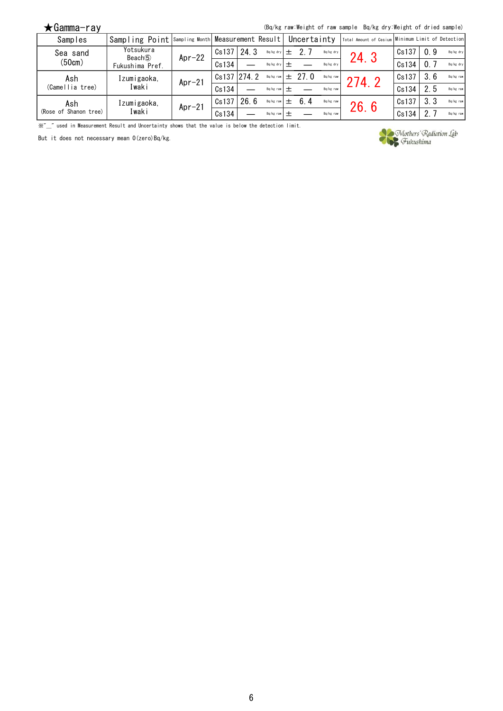(Bq/kg raw:Weight of raw sample Bq/kg dry:Weight of dried sample)

| Samples               | Sampling Point Sampling Month Measurement Result   Uncertainty |          |             |      |                 |                      |           | Total Amount of Cesium   Minimum Limit of Detection |       |      |           |
|-----------------------|----------------------------------------------------------------|----------|-------------|------|-----------------|----------------------|-----------|-----------------------------------------------------|-------|------|-----------|
| Sea sand              | Yotsukura<br>Beach <sup>(5)</sup>                              | $Apr-22$ | Cs137       | 24.3 | Bq/kg dry       |                      | Bq/kg dry | 24.3                                                | Cs137 | 0.9  | Bq/kg dry |
| (50cm)                | Fukushima Pref.                                                |          | Cs134       |      | Bq/kg dry $+$   |                      | Bq/kg dry |                                                     | Cs134 | 0.7  | Bq/kg dry |
| Ash                   | Izumigaoka,                                                    | $Apr-21$ | Cs137 274.2 |      |                 | Bq/kg raw $\pm$ 27.0 | Bq/kg raw | 274.2                                               | Cs137 | -3.6 | Bq/kg raw |
| (Camellia tree)       | Iwaki                                                          |          | Cs134       |      | $Ba/kg$ raw $+$ |                      | Ba/kg raw |                                                     | Cs134 | 2.5  | Bq/kg raw |
| Ash                   | Izumigaoka,                                                    | $Apr-21$ | Cs137       | 26.6 | Bq/kg raw       | 6.4                  | Bq/kg raw | 26.6                                                | Cs137 | 3, 3 | Bq/kg raw |
| (Rose of Shanon tree) | Iwaki                                                          |          | Cs134       |      | $Ba/kg$ raw $+$ |                      | Ba/kg raw |                                                     | Cs134 | 2.   | Bq/kg raw |

**Which the measurement Result and Uncertainty shows that the value is below the detection limit.** 

But it does not necessary mean 0(zero)Bq/kg.

Mothers' Radiation Lab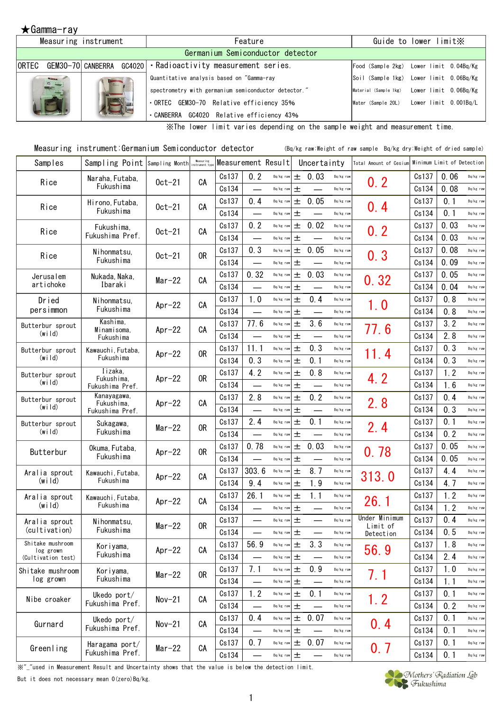### $\bigstar$ Gamma-ray

|                         | Measuring instrument | Feature                                                      |                       | Guide to lower limit X                   |
|-------------------------|----------------------|--------------------------------------------------------------|-----------------------|------------------------------------------|
|                         |                      | Germanium Semiconductor detector                             |                       |                                          |
| <b>ORTEC</b>            |                      | GEM30-70 CANBERRA GC4020   Radioactivity measurement series. |                       | Food (Sample 2kg) Lower limit 0.04Bq/Kg  |
| <b>Silvers</b><br>D 111 |                      | Quantitative analysis based on "Gamma-ray                    |                       | Soil (Sample 1kg) Lower limit 0.06Bq/Kg  |
|                         |                      | spectrometry with germanium semiconductor detector."         | Material (Sample 1kg) | Lower limit 0.06Bq/Kg                    |
|                         |                      | ORTEC GEM30-70 Relative efficiency 35%                       |                       | Water (Sample 20L) Lower limit 0.001Bq/L |
|                         |                      | GC4020 Relative efficiency 43%<br>CANBERRA                   |                       |                                          |

※The lower limit varies depending on the sample weight and measurement time.

| Measuring instrument:Germanium Semiconductor detector |  | (Bq/kg raw:Weight of raw sample Bq/kg dry:Weight of dried sample) |  |  |
|-------------------------------------------------------|--|-------------------------------------------------------------------|--|--|
|-------------------------------------------------------|--|-------------------------------------------------------------------|--|--|

| Samples                       | Sampling Point Sampling Month |           | Measuring<br>nstrument tvi |       |                          | Measurement Result |       | Uncertainty              |           | Total Amount of Cesium    | Minimum Limit of Detection |      |           |
|-------------------------------|-------------------------------|-----------|----------------------------|-------|--------------------------|--------------------|-------|--------------------------|-----------|---------------------------|----------------------------|------|-----------|
| Rice                          | Naraha, Futaba,               | $0ct-21$  | CA                         | Cs137 | 0.2                      | Bq/kg raw          | 土     | 0.03                     | Bq/kg raw | 0.2                       | Cs137                      | 0.06 | Bq/kg raw |
|                               | Fukushima                     |           |                            | Cs134 | $\overline{\phantom{0}}$ | Bq/kg raw          | 土     |                          | Bq/kg raw |                           | Cs134                      | 0.08 | Bq/kg raw |
| Rice                          | Hirono, Futaba,               | $0ct-21$  | CA                         | Cs137 | 0.4                      | Bq/kg raw          | 土     | 0.05                     | Bq/kg raw | 0.4                       | Cs137                      | 0.1  | Bq/kg raw |
|                               | Fukushima                     |           |                            | Cs134 | $\overline{\phantom{0}}$ | Bq/kg raw          | 土     |                          | Bq/kg raw |                           | Cs134                      | 0.1  | Bq/kg raw |
| Rice                          | Fukushima.                    | $0ct-21$  | CA                         | Cs137 | 0.2                      | Bq/kg raw          | 土     | 0.02                     | Bq/kg raw | 0.2                       | Cs137                      | 0.03 | Bq/kg raw |
|                               | Fukushima Pref.               |           |                            | Cs134 | $\overline{\phantom{0}}$ | Bq/kg raw          | 土     |                          | Bq/kg raw |                           | Cs134                      | 0.03 | Bq/kg raw |
| Rice                          | Nihonmatsu,                   | $0ct-21$  | 0R                         | Cs137 | 0.3                      | Bq/kg raw          | 土     | 0.05                     | Bq/kg raw | 0.3                       | Cs137                      | 0.08 | Bq/kg raw |
|                               | Fukushima                     |           |                            | Cs134 | $\overline{\phantom{0}}$ | Bq/kg raw          | 土     |                          | Bq/kg raw |                           | Cs134                      | 0.09 | Bq/kg raw |
| Jerusalem                     | Nukada, Naka,                 | $Mar-22$  | CA                         | Cs137 | 0.32                     | Bq/kg raw          | 土     | 0.03                     | Bq/kg raw | 0.32                      | Cs137                      | 0.05 | Bq/kg raw |
| artichoke                     | Ibaraki                       |           |                            | Cs134 | $\overline{\phantom{0}}$ | Bq/kg raw          | 土     | $\overline{\phantom{0}}$ | Bq/kg raw |                           | Cs134                      | 0.04 | Bq/kg raw |
| Dried                         | Nihonmatsu.                   | Apr $-22$ | CА                         | Cs137 | 1.0                      | Bq/kg raw          | 土     | 0.4                      | Bq/kg raw | 1.0                       | Cs137                      | 0.8  | Bq/kg raw |
| persimmon                     | Fukushima                     |           |                            | Cs134 | $\overline{\phantom{0}}$ | Bq/kg raw          | 土     |                          | Bq/kg raw |                           | Cs134                      | 0, 8 | Bq/kg raw |
| Butterbur sprout              | Kashima.<br>Minamisoma,       | Apr $-22$ | CA                         | Cs137 | 77.6                     | Bq/kg raw          | 土     | 3.6                      | Bq/kg raw | 77.6                      | Cs137                      | 3.2  | Bq/kg raw |
| $(w \mid d)$                  | Fukushima                     |           |                            | Cs134 | <u>in a</u>              | Bq/kg raw          | 土     |                          | Bq/kg raw |                           | Cs134                      | 2.8  | Bq/kg raw |
| Butterbur sprout              | Kawauchi, Futaba,             | Apr $-22$ | 0 <sub>R</sub>             | Cs137 | 11.1                     | Bq/kg raw          | 土     | 0.3                      | Bq/kg raw | 11.4                      | Cs137                      | 0.3  | Bq/kg raw |
| (w <sub>i</sub>   d)          | Fukushima                     |           |                            | Cs134 | 0.3                      | Bq/kg raw          | 士     | 0.1                      | Bq/kg raw |                           | Cs134                      | 0.3  | Bq/kg raw |
| Butterbur sprout              | Iizaka.<br>Fukushima,         | Apr $-22$ | 0R                         | Cs137 | 4.2                      | Bq/kg raw          | 土     | 0.8                      | Bq/kg raw | 4.2                       | Cs137                      | 1.2  | Bq/kg raw |
| (wild)                        | Fukushima Pref.               |           |                            | Cs134 | $\overline{\phantom{0}}$ | Bq/kg raw          | 土     | $\overline{\phantom{0}}$ | Bq/kg raw |                           | Cs134                      | 1.6  | Bq/kg raw |
| Butterbur sprout              | Kanayagawa,<br>Fukushima,     | Apr $-22$ | CA                         | Cs137 | 2.8                      | Bq/kg raw          | 土     | 0.2                      | Bq/kg raw | 2.8                       | Cs137                      | 0.4  | Bq/kg raw |
| $(w \mid d)$                  | Fukushima Pref.               |           |                            | Cs134 | $\overline{\phantom{0}}$ | Bq/kg raw          | 土     | $\overline{\phantom{0}}$ | Bq/kg raw |                           | Cs134                      | 0.3  | Bq/kg raw |
| Butterbur sprout              | Sukagawa,                     | $Mar-22$  | 0R                         | Cs137 | 2.4                      | Bq/kg raw          | 土     | 0.1                      | Bq/kg raw | 2.4                       | Cs137                      | 0.1  | Bq/kg raw |
| (wild)                        | Fukushima                     |           |                            | Cs134 | $\overline{\phantom{0}}$ | Bq/kg raw          | 土     |                          | Bq/kg raw |                           | Cs134                      | 0.2  | Bq/kg raw |
| Butterbur                     | Okuma, Futaba,                | Apr $-22$ | 0 <sub>R</sub>             | Cs137 | 0.78                     | Bq/kg raw          | 土     | 0.03                     | Bq/kg raw | 0, 78                     | Cs137                      | 0.05 | Bq/kg raw |
|                               | Fukushima                     |           |                            | Cs134 |                          | Bq/kg raw          | 土     |                          | Bq/kg raw |                           | Cs134                      | 0.05 | Bq/kg raw |
| Aralia sprout                 | Kawauchi, Futaba,             | Apr $-22$ | CА                         | Cs137 | 303.6                    | Bq/kg raw          | 土     | 8.7                      | Bq/kg raw | 313.0                     | Cs137                      | 4.4  | Bq/kg raw |
| (w <sub>i</sub>   d)          | Fukushima                     |           |                            | Cs134 | 9.4                      | Bq/kg raw          | 土     | 1.9                      | Bq/kg raw |                           | Cs134                      | 4.7  | Bq/kg raw |
| Aralia sprout                 | Kawauchi, Futaba,             | Apr $-22$ | CA                         | Cs137 | 26.1                     | Bq/kg raw          | 土     | 1.1                      | Bq/kg raw | 26.1                      | Cs137                      | 1.2  | Bq/kg raw |
| (w <sub>i</sub>   d)          | Fukushima                     |           |                            | Cs134 |                          | Bq/kg raw          | 土     |                          | Bq/kg raw |                           | Cs134                      | 1.2  | Bq/kg raw |
| Aralia sprout                 | Nihonmatsu.                   | $Mar-22$  | 0R                         | Cs137 | $\overline{\phantom{0}}$ | Bq/kg raw          | 土     | $\overline{\phantom{0}}$ | Bq/kg raw | Under Minimum<br>Limit of | Cs137                      | 0.4  | Bq/kg raw |
| (cultivation)                 | Fukushima                     |           |                            | Cs134 |                          | Bq/kg raw          | $\pm$ |                          | Bq/kg raw | Detection                 | Cs134                      | 0.5  | Bq/kg raw |
| Shitake mushroom<br>log grown | Koriyama,                     | Apr $-22$ | CA                         | Cs137 | 56.9                     | Bq/kg raw          | 土     | 3.3                      | Bq/kg raw | 56.9                      | Cs137                      | 1.8  | Bq/kg raw |
| (Cultivation test)            | Fukushima                     |           |                            | Cs134 | $\overline{\phantom{0}}$ | $Bq/kg$ raw $\pm$  |       | $\overline{\phantom{0}}$ | Bq/kg raw |                           | Cs134                      | 2.4  | Bq/kg raw |
| Shitake mushroom              | Koriyama,                     | $Mar-22$  | 0R                         | Cs137 | 7.1                      | Bq/kg raw          | $\pm$ | 0.9                      | Bq/kg raw | 7.1                       | Cs137                      | 1.0  | Bq/kg raw |
| log grown                     | Fukushima                     |           |                            | Cs134 | $\overline{\phantom{0}}$ | Bq/kg raw          | 土     |                          | Bq/kg raw |                           | Cs134                      | 1.1  | Bq/kg raw |
| Nibe croaker                  | Ukedo port/                   | $Nov-21$  | CA                         | Cs137 | 1.2                      | $Bq/kg$ raw        | 土     | 0.1                      | Bq/kg raw |                           | Cs137                      | 0.1  | Bq/kg raw |
|                               | Fukushima Pref.               |           |                            | Cs134 | $\overline{\phantom{0}}$ | Bq/kg raw $\pm$    |       |                          | Bq/kg raw | 1.2                       | Cs134                      | 0.2  | Bq/kg raw |
| Gurnard                       | Ukedo port/                   | $Nov-21$  | CA                         | Cs137 | 0.4                      | Bq/kg raw          | 土     | 0.07                     | Bq/kg raw |                           | Cs137                      | 0.1  | Bq/kg raw |
|                               | Fukushima Pref.               |           |                            | Cs134 | $\overline{\phantom{0}}$ | Bq/kg raw          | 土     |                          | Bq/kg raw | 0.4                       | Cs134                      | 0.1  | Bq/kg raw |
| Greenling                     | Haragama port/                | $Mar-22$  | СA                         | Cs137 | 0.7                      | Bq/kg raw          | $\pm$ | 0.07                     | Bq/kg raw |                           | Cs137                      | 0.1  | Bq/kg raw |
|                               | Fukushima Pref.               |           |                            | Cs134 | $\overline{\phantom{0}}$ | $Bq/kg$ raw        | 土     |                          | Bq/kg raw | 0.7                       | Cs134                      | 0.1  | Bq/kg raw |

※"\_"used in Measurement Result and Uncertainty shows that the value is below the detection limit.

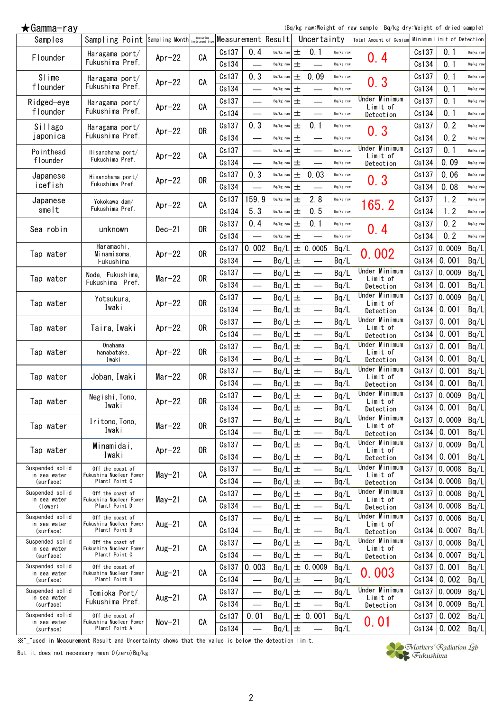$\bigstar$ Gamma-ray

(Bq/kg raw:Weight of raw sample Bq/kg dry:Weight of dried sample)

| Samples                         | Sampling Point Sampling Month Measuring     |           | Measuring      |       |                                  | Measurement Result |       | Uncertainty              |           | Total Amount of Cesium Minimum Limit of Detection |       |                |           |
|---------------------------------|---------------------------------------------|-----------|----------------|-------|----------------------------------|--------------------|-------|--------------------------|-----------|---------------------------------------------------|-------|----------------|-----------|
| Flounder                        | Haragama port/                              | Apr $-22$ | CA             | Cs137 | 0.4                              | $Bq/kg$ raw        | 土     | 0.1                      | Bq/kg raw | 0.4                                               | Cs137 | 0.1            | Bq/kg raw |
|                                 | Fukushima Pref.                             |           |                | Cs134 |                                  | Bq/kg raw          | 土     |                          | Bq/kg raw |                                                   | Cs134 | 0.1            | Bq/kg raw |
| Slime                           | Haragama port/                              | $Apr-22$  | CA             | Cs137 | 0.3                              | Bq/kg raw          | 土     | 0.09                     | Bq/kg raw | 0.3                                               | Cs137 | 0.1            | Bq/kg raw |
| flounder                        | Fukushima Pref.                             |           |                | Cs134 | $\overline{\phantom{0}}$         | Bq/kg raw          | 土     | $\overline{\phantom{0}}$ | Bq/kg raw |                                                   | Cs134 | 0.1            | Bq/kg raw |
| Ridged-eye                      | Haragama port/                              |           |                | Cs137 | $\overline{\phantom{0}}$         | Bq/kg raw          | 土     | $\overline{\phantom{0}}$ | Bq/kg raw | Under Minimum                                     | Cs137 | 0.1            | Bq/kg raw |
| flounder                        | Fukushima Pref.                             | Apr $-22$ | CA             | Cs134 | $\overline{\phantom{0}}$         | Bq/kg raw          | 土     | $\overline{\phantom{0}}$ | Bq/kg raw | Limit of<br>Detection                             | Cs134 | 0.1            | Bq/kg raw |
| Sillago                         | Haragama port/                              |           |                | Cs137 | 0.3                              | Bq/kg raw          | 土     | 0.1                      | Bq/kg raw |                                                   | Cs137 | 0.2            | Bq/kg raw |
| japonica                        | Fukushima Pref.                             | $Apr-22$  | 0R             | Cs134 |                                  | Bq/kg raw          | 土     | $\overline{\phantom{0}}$ | Bq/kg raw | 0.3                                               | Cs134 | 0.2            | Bq/kg raw |
| Pointhead                       | Hisanohama port/                            |           |                | Cs137 | $\overline{\phantom{0}}$         | Bq/kg raw          | 土     | $\overline{\phantom{0}}$ | Bq/kg raw | Under Minimum                                     | Cs137 | 0.1            | Bq/kg raw |
| flounder                        | Fukushima Pref.                             | Apr $-22$ | CA             | Cs134 | ▃                                | Bq/kg raw          | 土     | $\overline{\phantom{0}}$ | Bq/kg raw | Limit of<br>Detection                             | Cs134 | 0.09           | Bq/kg raw |
| Japanese                        | Hisanohama port/                            |           |                | Cs137 | 0.3                              | Bq/kg raw          | $\pm$ | 0.03                     | Bq/kg raw |                                                   | Cs137 | 0.06           | Bq/kg raw |
| icefish                         | Fukushima Pref.                             | Apr $-22$ | 0R             | Cs134 |                                  | Bq/kg raw          | 土     |                          | Bq/kg raw | 0.3                                               | Cs134 | 0.08           | Bq/kg raw |
| Japanese                        |                                             |           |                | Cs137 | 159.9                            | Bq/kg raw          | 土     | 2.8                      | Bq/kg raw |                                                   | Cs137 | 1.2            | Bq/kg raw |
| smelt                           | Yokokawa dam/<br>Fukushima Pref.            | Apr $-22$ | СA             | Cs134 | 5.3                              | Bq/kg raw          | 土     | 0.5                      | Bq/kg raw | 165.2                                             | Cs134 | 1.2            | Bq/kg raw |
|                                 |                                             |           |                | Cs137 | 0.4                              | Bq/kg raw          | 土     | 0.1                      | Bq/kg raw |                                                   | Cs137 | 0.2            | Bq/kg raw |
| Sea robin                       | unknown                                     | $Dec-21$  | 0R             | Cs134 | $\overline{\phantom{0}}$         | Bq/kg raw          | 土     | $\overline{\phantom{0}}$ | Bq/kg raw | 0.4                                               | Cs134 | 0.2            | Bq/kg raw |
|                                 | Haramachi,                                  |           |                | Cs137 | 0.002                            |                    |       | ± 0.0005                 |           |                                                   | Cs137 | 0.0009         | Bq/L      |
| Tap water                       | Minamisoma,                                 | Apr $-22$ | 0 <sub>R</sub> |       |                                  | Bq/L               |       |                          | Bq/L      | 0.002                                             |       |                |           |
|                                 | Fukushima                                   |           |                | Cs134 | $\overline{\phantom{0}}$         | Bq/L               | 土     | $\overline{\phantom{0}}$ | Bq/L      | Under Minimum                                     | Cs134 | 0.001          | Bq/L      |
| Tap water                       | Noda, Fukushima,<br>Fukushima Pref.         | $Mar-22$  | 0R             | Cs137 | $\overline{\phantom{0}}$         | Bq/L               | 土     | $\overline{\phantom{0}}$ | Bq/L      | Limit of                                          | Cs137 | 0.0009         | Bq/L      |
|                                 |                                             |           |                | Cs134 |                                  | Bq/L               | 土     |                          | Bq/L      | Detection                                         | Cs134 | 0.001          | Bq/L      |
| Tap water                       | Yotsukura,                                  | Apr $-22$ | 0R             | Cs137 |                                  | Bq/L               | 土     | $\overline{\phantom{0}}$ | Bq/L      | Under Minimum<br>Limit of                         | Cs137 | 0.0009         | Bq/L      |
|                                 | Iwaki                                       |           |                | Cs134 | $\overline{\phantom{0}}$         | Bq/L               | 土     | $\overline{\phantom{0}}$ | Bq/L      | Detection                                         | Cs134 | 0.001          | Bq/L      |
| Tap water                       | Taira, Iwaki                                | Apr $-22$ | 0R             | Cs137 | $\overline{\phantom{0}}$         | Bq/L               | $\pm$ |                          | Bq/L      | Under Minimum<br>Limit of                         | Cs137 | 0.001          | Bq/L      |
|                                 |                                             |           |                | Cs134 |                                  | Bq/L               | 土     | $\overline{\phantom{0}}$ | Bq/L      | Detection                                         | Cs134 | 0.001          | Bq/L      |
| Tap water                       | <b>Onahama</b><br>hanabatake,               | Apr $-22$ | 0R             | Cs137 | $\overline{\phantom{0}}$         | Bq/L               | $\pm$ | $\overline{\phantom{0}}$ | Bq/L      | Under Minimum<br>Limit of                         | Cs137 | 0.001          | Bq/L      |
|                                 | Iwaki                                       |           |                | Cs134 |                                  | Bq/L               | 土     | $\overline{\phantom{0}}$ | Bq/L      | Detection                                         | Cs134 | 0.001          | Bq/L      |
| Tap water                       | Joban, Iwaki                                | $Mar-22$  | 0R             | Cs137 | $\overline{\phantom{0}}$         | Bq/L               | $\pm$ | $\overline{\phantom{0}}$ | Bq/L      | Under Minimum<br>Limit of                         | Cs137 | 0.001          | Bq/L      |
|                                 |                                             |           |                | Cs134 | $\overline{\phantom{0}}$         | Bq/L               | 土     | $\overline{\phantom{0}}$ | Bq/L      | Detection                                         | Cs134 | 0.001          | Bq/L      |
| Tap water                       | Negishi, Tono,                              | $Apr-22$  | 0R             | Cs137 | $\overline{\phantom{0}}$         | Bq/L               | 土     | $\overline{\phantom{0}}$ | Bq/L      | Under Minimum<br>Limit of                         | Cs137 | 0.0009         | Bq/L      |
|                                 | Iwaki                                       |           |                | Cs134 | —                                | $Bq/L$ $\pm$       |       | $\overline{\phantom{0}}$ | Bq/L      | Detection                                         | Cs134 | 0.001          | Bq/L      |
|                                 | Iritono, Tono,                              |           |                | Cs137 |                                  | $Bq/L$ $\pm$       |       |                          | Bq/L      | Under Minimum                                     |       | $Cs137$ 0.0009 | Bq/L      |
| Tap water                       | Iwaki                                       | $Mar-22$  | 0R             | Cs134 | $\overline{\phantom{0}}$         | Bq/L               | $\pm$ | $\overline{\phantom{0}}$ | Bq/L      | Limit of<br>Detection                             | Cs134 | 0.001          | Bq/L      |
|                                 | Minamidai,                                  |           |                | Cs137 | $\overline{\phantom{0}}$         | $Bq/L$ $\pm$       |       | $\overline{\phantom{0}}$ | Bq/L      | Under Minimum                                     | Cs137 | 0.0009         | Bq/L      |
| Tap water                       | Iwaki                                       | Apr $-22$ | 0 <sub>R</sub> | Cs134 |                                  | Bq/L               | $\pm$ | $\overline{\phantom{0}}$ | Bq/L      | Limit of<br>Detection                             | Cs134 | 0.001          | Bq/L      |
| Suspended solid                 | Off the coast of                            |           |                | Cs137 |                                  | Bq/L               | $\pm$ | $\overline{\phantom{0}}$ | Bq/L      | Under Minimum                                     | Cs137 | 0.0008         | Bq/L      |
| in sea water<br>(surface)       | Fukushima Nuclear Power<br>Plant1 Point C   | $May-21$  | CA             | Cs134 |                                  | Bq/L               | 土     | $\overline{\phantom{0}}$ | Bq/L      | Limit of<br>Detection                             | Cs134 | 0.0008         | Bq/L      |
| Suspended solid                 | Off the coast of                            |           |                | Cs137 | $\overline{\phantom{0}}$         | Bq/L               | $\pm$ |                          | Bq/L      | Under Minimum                                     | Cs137 | 0.0008         | Bq/L      |
| in sea water<br>(lower)         | Fukushima Nuclear Power<br>Plant1 Point D   | $May-21$  | CA             | Cs134 | $\overline{\phantom{0}}$         | $Bq/L$ $\pm$       |       | $\overline{\phantom{0}}$ | Bq/L      | Limit of<br>Detection                             | Cs134 | 0.0008         | Bq/L      |
| Suspended solid                 | Off the coast of                            |           |                | Cs137 | $\overline{\phantom{0}}$         | Bq/L               | $\pm$ |                          | Bq/L      | Under Minimum                                     | Cs137 | 0.0006         | Bq/L      |
| in sea water<br>(surface)       | Fukushima Nuclear Power<br>Plant1 Point B   | Aug $-21$ | СA             | Cs134 | $\overline{\phantom{0}}$         | Bq/L               | 土     | $\overline{\phantom{0}}$ | Bq/L      | Limit of<br>Detection                             | Cs134 | 0.0007         | Bq/L      |
| Suspended solid                 | Off the coast of                            |           |                | Cs137 | —                                | Bq/L               | 土     | $\overline{\phantom{0}}$ | Bq/L      | Under Minimum                                     | Cs137 | 0.0008         | Bq/L      |
| in sea water                    | Fukushima Nuclear Power<br>Plant1 Point C   | Aug $-21$ | CA             | Cs134 | $\overline{\phantom{0}}$         | $Bq/L$ $\pm$       |       |                          | Bq/L      | Limit of                                          | Cs134 | 0.0007         | Bq/L      |
| (surface)<br>Suspended solid    | Off the coast of                            |           |                | Cs137 | 0.003                            |                    |       | ± 0.0009                 |           | Detection                                         | Cs137 | 0.001          |           |
| in sea water                    | Fukushima Nuclear Power                     | Aug $-21$ | CA             |       |                                  | Bq/L               |       |                          | Bq/L      | 0.003                                             |       |                | Bq/L      |
| (surface)<br>Suspended solid    | Plant1 Point D                              |           |                | Cs134 | $\overline{\phantom{0}}$         | $Bq/L$ $\pm$       |       | $\overline{\phantom{0}}$ | Bq/L      | Under Minimum                                     | Cs134 | 0.002          | Bq/L      |
| in sea water                    | Tomioka Port/<br>Fukushima Pref.            | Aug $-21$ | CA             | Cs137 |                                  | $Bq/L$ $\pm$       |       | $\overline{\phantom{0}}$ | Bq/L      | Limit of                                          | Cs137 | 0.0009         | Bq/L      |
| (surface)                       |                                             |           |                | Cs134 |                                  | $Bq/L$ $\pm$       |       | $\overline{\phantom{0}}$ | Bq/L      | Detection                                         | Cs134 | 0.0009         | Bq/L      |
| Suspended solid<br>in sea water | Off the coast of<br>Fukushima Nuclear Power | $Nov-21$  | CA             | Cs137 | 0.01                             | Bq/L               |       | ± 0.001                  | Bq/L      | 0.01                                              | Cs137 | 0.002          | Bq/L      |
| (surface)                       | Plant1 Point A                              |           |                | Cs134 | $\overbrace{\phantom{12322111}}$ | $Bq/L$ $\pm$       |       |                          | Bq/L      |                                                   | Cs134 | 0.002          | Bq/L      |

※"\_"used in Measurement Result and Uncertainty shows that the value is below the detection limit.

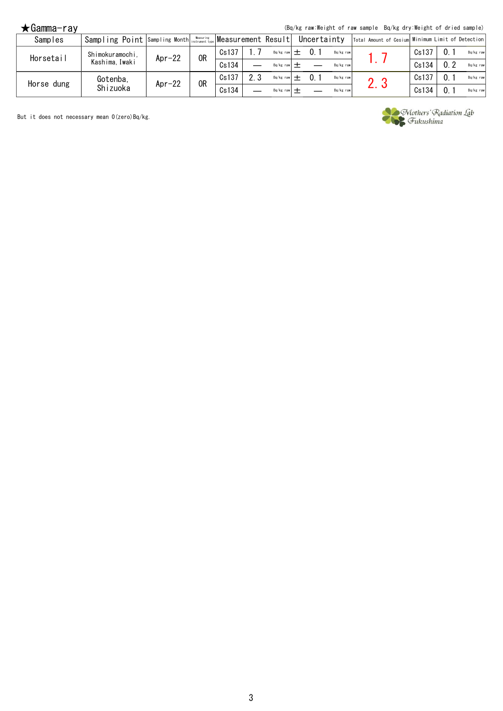(Bq/kg raw:Weight of raw sample Bq/kg dry:Weight of dried sample)

| Samples    | Sampling Point Sampling Month instrument type Measurement Result |           |    |       |     |           | Uncertainty |           | Total Amount of Cesium Minimum Limit of Detection |       |           |
|------------|------------------------------------------------------------------|-----------|----|-------|-----|-----------|-------------|-----------|---------------------------------------------------|-------|-----------|
| Horsetail  | Shimokuramochi.                                                  | Apr $-22$ | 0R | Cs137 |     | Bq/kg raw |             | Bq/kg raw |                                                   | Cs137 | Bq/kg raw |
|            | Kashima.Iwaki                                                    |           |    | Cs134 |     | Ba/kg raw |             | Ba/kg raw |                                                   | Cs134 | Bq/kg raw |
| Horse dung | Gotenba,                                                         | $Apr-22$  | 0R | Cs137 | 2.3 | Bq/kg raw |             | Bq/kg raw |                                                   | Cs137 | Bq/kg raw |
|            | Shizuoka                                                         |           |    | Cs134 |     | Ba/kg raw |             | Ba/kg raw | ۷. J                                              | Cs134 | Bq/kg raw |

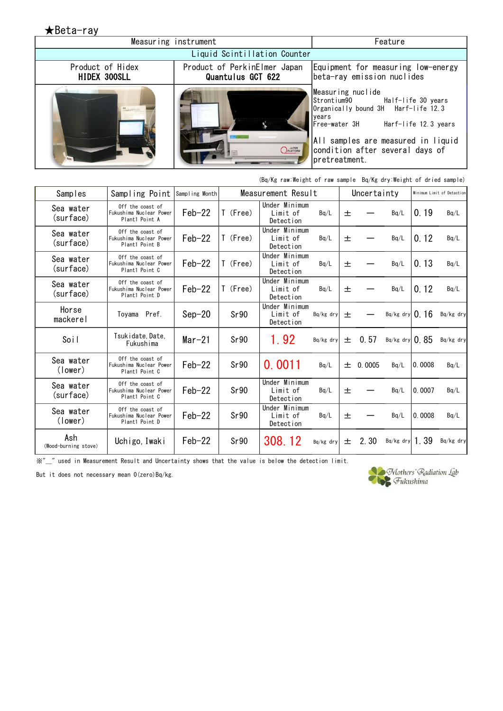★Beta-ray Measuring instrument **Feature Feature** Liquid Scintillation Counter Product of Hidex Product of PerkinElmer Japan Equipment for measuring low-energy HIDEX 300SLL Quantulus GCT 622 beta-ray emission nuclides Measuring nuclide Strontium90 Half-life 30 years Organically bound 3H Harf-life 12.3 years<br>Free-water 3H Harf-life 12.3 years All samples are measured in liquid *OPLATFORM* condition after several days of pretreatment. **STATISTICS** 

|                             | (Bq/Kg raw:Weight of raw sample Bq/Kg dry:Weight of dried sample) |                |          |                                        |           |   |             |                  |        |                            |
|-----------------------------|-------------------------------------------------------------------|----------------|----------|----------------------------------------|-----------|---|-------------|------------------|--------|----------------------------|
| Samples                     | Sampling Point                                                    | Sampling Month |          | Measurement Result                     |           |   | Uncertainty |                  |        | Minimum Limit of Detection |
| Sea water<br>(surface)      | Off the coast of<br>Fukushima Nuclear Power<br>Plant1 Point A     | $Feb-22$       | T (Free) | Under Minimum<br>Limit of<br>Detection | Bq/L      | 土 |             | Bq/L             | 0.19   | Ba/L                       |
| Sea water<br>(surface)      | Off the coast of<br>Fukushima Nuclear Power<br>Plant1 Point B     | $Feb-22$       | T (Free) | Under Minimum<br>Limit of<br>Detection | Bq/L      | 土 |             | Bq/L             | 0.12   | Bq/L                       |
| Sea water<br>(surface)      | Off the coast of<br>Fukushima Nuclear Power<br>Plant1 Point C     | $Feb-22$       | T (Free) | Under Minimum<br>Limit of<br>Detection | Bq/L      | 土 |             | Bq/L             | 0.13   | Ba/L                       |
| Sea water<br>(surface)      | Off the coast of<br>Fukushima Nuclear Power<br>Plant1 Point D     | $Feb-22$       | T (Free) | Under Minimum<br>Limit of<br>Detection | Bq/L      | 土 |             | Bq/L             | 0.12   | Bq/L                       |
| Horse<br>mackerel           | Toyama Pref.                                                      | $Sep-20$       | Sr90     | Under Minimum<br>Limit of<br>Detection | Bq/kg dry | 土 |             | Bq/kg dry $0.16$ |        | Bq/kg dry                  |
| Soil                        | Tsukidate, Date,<br>Fukushima                                     | $Mar-21$       | Sr90     | 1.92                                   | Bq/kg dry | 士 | 0.57        | $Ba/kg$ dry 0.85 |        | Bq/kg dry                  |
| Sea water<br>(lower)        | Off the coast of<br>Fukushima Nuclear Power<br>Plant1 Point C     | $Feb-22$       | Sr90     | 0.0011                                 | Bq/L      | 土 | 0.0005      | Bq/L             | 0.0008 | Ba/L                       |
| Sea water<br>(surface)      | Off the coast of<br>Fukushima Nuclear Power<br>Plant1 Point C     | $Feb-22$       | Sr90     | Under Minimum<br>Limit of<br>Detection | Bq/L      | 土 |             | Bq/L             | 0.0007 | Bq/L                       |
| Sea water<br>(lower)        | Off the coast of<br>Fukushima Nuclear Power<br>Plant1 Point D     | $Feb-22$       | Sr90     | Under Minimum<br>Limit of<br>Detection | Bq/L      | 土 |             | Bq/L             | 0.0008 | Bq/L                       |
| Ash<br>(Wood-burning stove) | Uchigo, Iwaki                                                     | $Feb-22$       | Sr90     | 308.12                                 | Bq/kg dry | 士 | 2.30        | Bq/kg dry $1.39$ |        | Bq/kg dry                  |

 $\H \mathbb{X}''\_$ " used in Measurement Result and Uncertainty shows that the value is below the detection limit.